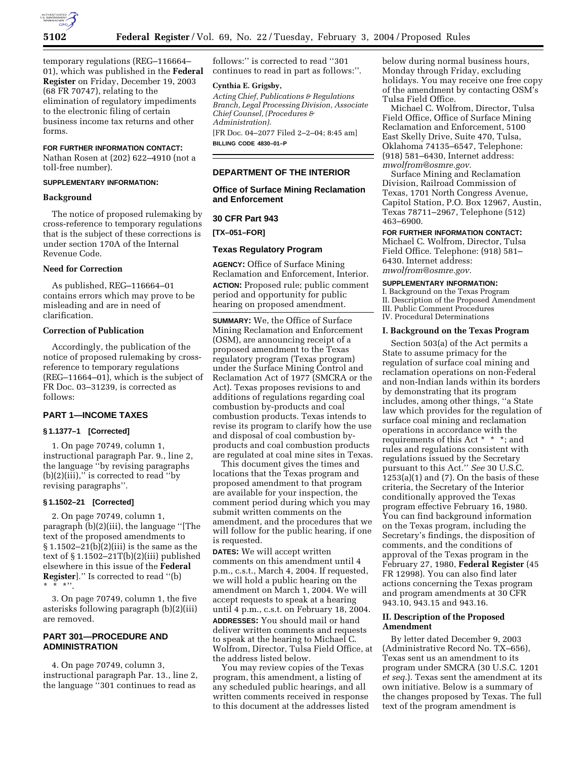

temporary regulations (REG–116664– 01), which was published in the **Federal Register** on Friday, December 19, 2003 (68 FR 70747), relating to the elimination of regulatory impediments to the electronic filing of certain business income tax returns and other forms.

## **FOR FURTHER INFORMATION CONTACT:**

Nathan Rosen at (202) 622–4910 (not a toll-free number).

### **SUPPLEMENTARY INFORMATION:**

### **Background**

The notice of proposed rulemaking by cross-reference to temporary regulations that is the subject of these corrections is under section 170A of the Internal Revenue Code.

## **Need for Correction**

As published, REG–116664–01 contains errors which may prove to be misleading and are in need of clarification.

## **Correction of Publication**

Accordingly, the publication of the notice of proposed rulemaking by crossreference to temporary regulations (REG–11664–01), which is the subject of FR Doc. 03–31239, is corrected as follows:

### **PART 1—INCOME TAXES**

#### **§ 1.1377–1 [Corrected]**

1. On page 70749, column 1, instructional paragraph Par. 9., line 2, the language ''by revising paragraphs  $(b)(2)(iii)$ ," is corrected to read "by revising paragraphs''.

# **§ 1.1502–21 [Corrected]**

2. On page 70749, column 1, paragraph (b)(2)(iii), the language ''[The text of the proposed amendments to § 1.1502–21(b)(2)(iii) is the same as the text of § 1.1502–21T(b)(2)(iii) published elsewhere in this issue of the **Federal Register**].'' Is corrected to read ''(b)  $*$ ''.

3. On page 70749, column 1, the five asterisks following paragraph (b)(2)(iii) are removed.

## **PART 301—PROCEDURE AND ADMINISTRATION**

4. On page 70749, column 3, instructional paragraph Par. 13., line 2, the language ''301 continues to read as

follows:'' is corrected to read ''301 continues to read in part as follows:''.

## **Cynthia E. Grigsby,**

*Acting Chief, Publications & Regulations Branch, Legal Processing Division, Associate Chief Counsel, (Procedures & Administration).* [FR Doc. 04–2077 Filed 2–2–04; 8:45 am]

**BILLING CODE 4830–01–P**

## **DEPARTMENT OF THE INTERIOR**

## **Office of Surface Mining Reclamation and Enforcement**

## **30 CFR Part 943**

**[TX–051–FOR]** 

## **Texas Regulatory Program**

**AGENCY:** Office of Surface Mining Reclamation and Enforcement, Interior. **ACTION:** Proposed rule; public comment period and opportunity for public hearing on proposed amendment.

**SUMMARY:** We, the Office of Surface Mining Reclamation and Enforcement (OSM), are announcing receipt of a proposed amendment to the Texas regulatory program (Texas program) under the Surface Mining Control and Reclamation Act of 1977 (SMCRA or the Act). Texas proposes revisions to and additions of regulations regarding coal combustion by-products and coal combustion products. Texas intends to revise its program to clarify how the use and disposal of coal combustion byproducts and coal combustion products are regulated at coal mine sites in Texas.

This document gives the times and locations that the Texas program and proposed amendment to that program are available for your inspection, the comment period during which you may submit written comments on the amendment, and the procedures that we will follow for the public hearing, if one is requested.

**DATES:** We will accept written comments on this amendment until 4 p.m., c.s.t., March 4, 2004. If requested, we will hold a public hearing on the amendment on March 1, 2004. We will accept requests to speak at a hearing until 4 p.m., c.s.t. on February 18, 2004. **ADDRESSES:** You should mail or hand deliver written comments and requests to speak at the hearing to Michael C. Wolfrom, Director, Tulsa Field Office, at the address listed below.

You may review copies of the Texas program, this amendment, a listing of any scheduled public hearings, and all written comments received in response to this document at the addresses listed

below during normal business hours, Monday through Friday, excluding holidays. You may receive one free copy of the amendment by contacting OSM's Tulsa Field Office.

Michael C. Wolfrom, Director, Tulsa Field Office, Office of Surface Mining Reclamation and Enforcement, 5100 East Skelly Drive, Suite 470, Tulsa, Oklahoma 74135–6547, Telephone: (918) 581–6430, Internet address: *mwolfrom@osmre.gov.*

Surface Mining and Reclamation Division, Railroad Commission of Texas, 1701 North Congress Avenue, Capitol Station, P.O. Box 12967, Austin, Texas 78711–2967, Telephone (512) 463–6900.

## **FOR FURTHER INFORMATION CONTACT:**

Michael C. Wolfrom, Director, Tulsa Field Office. Telephone: (918) 581– 6430. Internet address: *mwolfrom@osmre.gov.*

#### **SUPPLEMENTARY INFORMATION:**

I. Background on the Texas Program II. Description of the Proposed Amendment III. Public Comment Procedures IV. Procedural Determinations

#### **I. Background on the Texas Program**

Section 503(a) of the Act permits a State to assume primacy for the regulation of surface coal mining and reclamation operations on non-Federal and non-Indian lands within its borders by demonstrating that its program includes, among other things, ''a State law which provides for the regulation of surface coal mining and reclamation operations in accordance with the requirements of this Act \* \* \*; and rules and regulations consistent with regulations issued by the Secretary pursuant to this Act.'' *See* 30 U.S.C.  $1253(a)(1)$  and  $(7)$ . On the basis of these criteria, the Secretary of the Interior conditionally approved the Texas program effective February 16, 1980. You can find background information on the Texas program, including the Secretary's findings, the disposition of comments, and the conditions of approval of the Texas program in the February 27, 1980, **Federal Register** (45 FR 12998). You can also find later actions concerning the Texas program and program amendments at 30 CFR 943.10, 943.15 and 943.16.

### **II. Description of the Proposed Amendment**

By letter dated December 9, 2003 (Administrative Record No. TX–656), Texas sent us an amendment to its program under SMCRA (30 U.S.C. 1201 *et seq.*). Texas sent the amendment at its own initiative. Below is a summary of the changes proposed by Texas. The full text of the program amendment is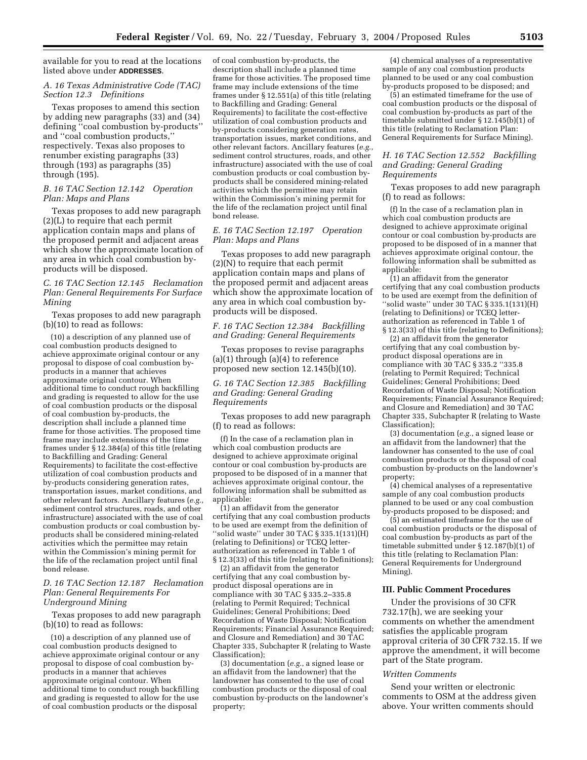available for you to read at the locations listed above under **ADDRESSES**.

## *A. 16 Texas Administrative Code (TAC) Section 12.3 Definitions*

Texas proposes to amend this section by adding new paragraphs (33) and (34) defining ''coal combustion by-products'' and ''coal combustion products,'' respectively. Texas also proposes to renumber existing paragraphs (33) through (193) as paragraphs (35) through (195).

### *B. 16 TAC Section 12.142 Operation Plan: Maps and Plans*

Texas proposes to add new paragraph (2)(L) to require that each permit application contain maps and plans of the proposed permit and adjacent areas which show the approximate location of any area in which coal combustion byproducts will be disposed.

*C. 16 TAC Section 12.145 Reclamation Plan: General Requirements For Surface Mining* 

Texas proposes to add new paragraph (b)(10) to read as follows:

(10) a description of any planned use of coal combustion products designed to achieve approximate original contour or any proposal to dispose of coal combustion byproducts in a manner that achieves approximate original contour. When additional time to conduct rough backfilling and grading is requested to allow for the use of coal combustion products or the disposal of coal combustion by-products, the description shall include a planned time frame for those activities. The proposed time frame may include extensions of the time frames under § 12.384(a) of this title (relating to Backfilling and Grading: General Requirements) to facilitate the cost-effective utilization of coal combustion products and by-products considering generation rates, transportation issues, market conditions, and other relevant factors. Ancillary features (*e.g.*, sediment control structures, roads, and other infrastructure) associated with the use of coal combustion products or coal combustion byproducts shall be considered mining-related activities which the permittee may retain within the Commission's mining permit for the life of the reclamation project until final bond release.

## *D. 16 TAC Section 12.187 Reclamation Plan: General Requirements For Underground Mining*

Texas proposes to add new paragraph (b)(10) to read as follows:

(10) a description of any planned use of coal combustion products designed to achieve approximate original contour or any proposal to dispose of coal combustion byproducts in a manner that achieves approximate original contour. When additional time to conduct rough backfilling and grading is requested to allow for the use of coal combustion products or the disposal

of coal combustion by-products, the description shall include a planned time frame for those activities. The proposed time frame may include extensions of the time frames under § 12.551(a) of this title (relating to Backfilling and Grading: General Requirements) to facilitate the cost-effective utilization of coal combustion products and by-products considering generation rates, transportation issues, market conditions, and other relevant factors. Ancillary features (*e.g.*, sediment control structures, roads, and other infrastructure) associated with the use of coal combustion products or coal combustion byproducts shall be considered mining-related activities which the permittee may retain within the Commission's mining permit for the life of the reclamation project until final bond release.

### *E. 16 TAC Section 12.197 Operation Plan: Maps and Plans*

Texas proposes to add new paragraph (2)(N) to require that each permit application contain maps and plans of the proposed permit and adjacent areas which show the approximate location of any area in which coal combustion byproducts will be disposed.

### *F. 16 TAC Section 12.384 Backfilling and Grading: General Requirements*

Texas proposes to revise paragraphs  $(a)(1)$  through  $(a)(4)$  to reference proposed new section 12.145(b)(10).

## *G. 16 TAC Section 12.385 Backfilling and Grading: General Grading Requirements*

Texas proposes to add new paragraph (f) to read as follows:

(f) In the case of a reclamation plan in which coal combustion products are designed to achieve approximate original contour or coal combustion by-products are proposed to be disposed of in a manner that achieves approximate original contour, the following information shall be submitted as applicable:

(1) an affidavit from the generator certifying that any coal combustion products to be used are exempt from the definition of ''solid waste'' under 30 TAC § 335.1(131)(H) (relating to Definitions) or TCEQ letterauthorization as referenced in Table 1 of § 12.3(33) of this title (relating to Definitions);

(2) an affidavit from the generator certifying that any coal combustion byproduct disposal operations are in compliance with 30 TAC § 335.2–335.8 (relating to Permit Required; Technical Guidelines; General Prohibitions; Deed Recordation of Waste Disposal; Notification Requirements; Financial Assurance Required; and Closure and Remediation) and 30 TAC Chapter 335, Subchapter R (relating to Waste Classification);

(3) documentation (*e.g.*, a signed lease or an affidavit from the landowner) that the landowner has consented to the use of coal combustion products or the disposal of coal combustion by-products on the landowner's property;

(4) chemical analyses of a representative sample of any coal combustion products planned to be used or any coal combustion by-products proposed to be disposed; and

(5) an estimated timeframe for the use of coal combustion products or the disposal of coal combustion by-products as part of the timetable submitted under § 12.145(b)(1) of this title (relating to Reclamation Plan: General Requirements for Surface Mining).

## *H. 16 TAC Section 12.552 Backfilling and Grading: General Grading Requirements*

Texas proposes to add new paragraph (f) to read as follows:

(f) In the case of a reclamation plan in which coal combustion products are designed to achieve approximate original contour or coal combustion by-products are proposed to be disposed of in a manner that achieves approximate original contour, the following information shall be submitted as applicable:

(1) an affidavit from the generator certifying that any coal combustion products to be used are exempt from the definition of ''solid waste'' under 30 TAC § 335.1(131)(H) (relating to Definitions) or TCEQ letterauthorization as referenced in Table 1 of § 12.3(33) of this title (relating to Definitions);

(2) an affidavit from the generator certifying that any coal combustion byproduct disposal operations are in compliance with 30 TAC § 335.2 ''335.8 (relating to Permit Required; Technical Guidelines; General Prohibitions; Deed Recordation of Waste Disposal; Notification Requirements; Financial Assurance Required; and Closure and Remediation) and 30 TAC Chapter 335, Subchapter R (relating to Waste Classification);

(3) documentation (*e.g.*, a signed lease or an affidavit from the landowner) that the landowner has consented to the use of coal combustion products or the disposal of coal combustion by-products on the landowner's property;

(4) chemical analyses of a representative sample of any coal combustion products planned to be used or any coal combustion by-products proposed to be disposed; and

(5) an estimated timeframe for the use of coal combustion products or the disposal of coal combustion by-products as part of the timetable submitted under § 12.187(b)(1) of this title (relating to Reclamation Plan: General Requirements for Underground Mining).

## **III. Public Comment Procedures**

Under the provisions of 30 CFR 732.17(h), we are seeking your comments on whether the amendment satisfies the applicable program approval criteria of 30 CFR 732.15. If we approve the amendment, it will become part of the State program.

#### *Written Comments*

Send your written or electronic comments to OSM at the address given above. Your written comments should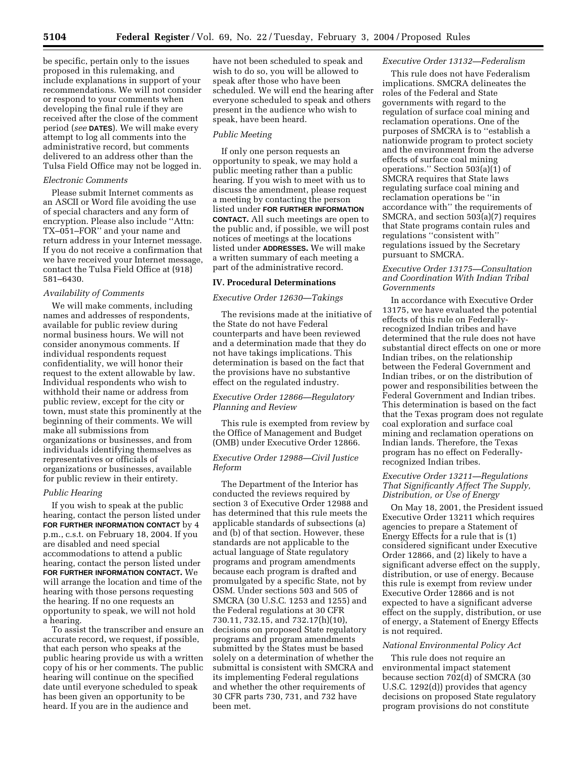be specific, pertain only to the issues proposed in this rulemaking, and include explanations in support of your recommendations. We will not consider or respond to your comments when developing the final rule if they are received after the close of the comment period (*see* **DATES**). We will make every attempt to log all comments into the administrative record, but comments delivered to an address other than the Tulsa Field Office may not be logged in.

## *Electronic Comments*

Please submit Internet comments as an ASCII or Word file avoiding the use of special characters and any form of encryption. Please also include ''Attn: TX–051–FOR'' and your name and return address in your Internet message. If you do not receive a confirmation that we have received your Internet message, contact the Tulsa Field Office at (918) 581–6430.

### *Availability of Comments*

We will make comments, including names and addresses of respondents, available for public review during normal business hours. We will not consider anonymous comments. If individual respondents request confidentiality, we will honor their request to the extent allowable by law. Individual respondents who wish to withhold their name or address from public review, except for the city or town, must state this prominently at the beginning of their comments. We will make all submissions from organizations or businesses, and from individuals identifying themselves as representatives or officials of organizations or businesses, available for public review in their entirety.

#### *Public Hearing*

If you wish to speak at the public hearing, contact the person listed under **FOR FURTHER INFORMATION CONTACT** by 4 p.m., c.s.t. on February 18, 2004. If you are disabled and need special accommodations to attend a public hearing, contact the person listed under **FOR FURTHER INFORMATION CONTACT.** We will arrange the location and time of the hearing with those persons requesting the hearing. If no one requests an opportunity to speak, we will not hold a hearing.

To assist the transcriber and ensure an accurate record, we request, if possible, that each person who speaks at the public hearing provide us with a written copy of his or her comments. The public hearing will continue on the specified date until everyone scheduled to speak has been given an opportunity to be heard. If you are in the audience and

have not been scheduled to speak and wish to do so, you will be allowed to speak after those who have been scheduled. We will end the hearing after everyone scheduled to speak and others present in the audience who wish to speak, have been heard.

## *Public Meeting*

If only one person requests an opportunity to speak, we may hold a public meeting rather than a public hearing. If you wish to meet with us to discuss the amendment, please request a meeting by contacting the person listed under **FOR FURTHER INFORMATION CONTACT.** All such meetings are open to the public and, if possible, we will post notices of meetings at the locations listed under **ADDRESSES.** We will make a written summary of each meeting a part of the administrative record.

#### **IV. Procedural Determinations**

### *Executive Order 12630—Takings*

The revisions made at the initiative of the State do not have Federal counterparts and have been reviewed and a determination made that they do not have takings implications. This determination is based on the fact that the provisions have no substantive effect on the regulated industry.

## *Executive Order 12866—Regulatory Planning and Review*

This rule is exempted from review by the Office of Management and Budget (OMB) under Executive Order 12866.

## *Executive Order 12988—Civil Justice Reform*

The Department of the Interior has conducted the reviews required by section 3 of Executive Order 12988 and has determined that this rule meets the applicable standards of subsections (a) and (b) of that section. However, these standards are not applicable to the actual language of State regulatory programs and program amendments because each program is drafted and promulgated by a specific State, not by OSM. Under sections 503 and 505 of SMCRA (30 U.S.C. 1253 and 1255) and the Federal regulations at 30 CFR 730.11, 732.15, and 732.17(h)(10), decisions on proposed State regulatory programs and program amendments submitted by the States must be based solely on a determination of whether the submittal is consistent with SMCRA and its implementing Federal regulations and whether the other requirements of 30 CFR parts 730, 731, and 732 have been met.

## *Executive Order 13132—Federalism*

This rule does not have Federalism implications. SMCRA delineates the roles of the Federal and State governments with regard to the regulation of surface coal mining and reclamation operations. One of the purposes of SMCRA is to ''establish a nationwide program to protect society and the environment from the adverse effects of surface coal mining operations.'' Section 503(a)(1) of SMCRA requires that State laws regulating surface coal mining and reclamation operations be ''in accordance with'' the requirements of SMCRA, and section 503(a)(7) requires that State programs contain rules and regulations ''consistent with'' regulations issued by the Secretary pursuant to SMCRA.

## *Executive Order 13175—Consultation and Coordination With Indian Tribal Governments*

In accordance with Executive Order 13175, we have evaluated the potential effects of this rule on Federallyrecognized Indian tribes and have determined that the rule does not have substantial direct effects on one or more Indian tribes, on the relationship between the Federal Government and Indian tribes, or on the distribution of power and responsibilities between the Federal Government and Indian tribes. This determination is based on the fact that the Texas program does not regulate coal exploration and surface coal mining and reclamation operations on Indian lands. Therefore, the Texas program has no effect on Federallyrecognized Indian tribes.

## *Executive Order 13211—Regulations That Significantly Affect The Supply, Distribution, or Use of Energy*

On May 18, 2001, the President issued Executive Order 13211 which requires agencies to prepare a Statement of Energy Effects for a rule that is (1) considered significant under Executive Order 12866, and (2) likely to have a significant adverse effect on the supply, distribution, or use of energy. Because this rule is exempt from review under Executive Order 12866 and is not expected to have a significant adverse effect on the supply, distribution, or use of energy, a Statement of Energy Effects is not required.

#### *National Environmental Policy Act*

This rule does not require an environmental impact statement because section 702(d) of SMCRA (30 U.S.C. 1292(d)) provides that agency decisions on proposed State regulatory program provisions do not constitute